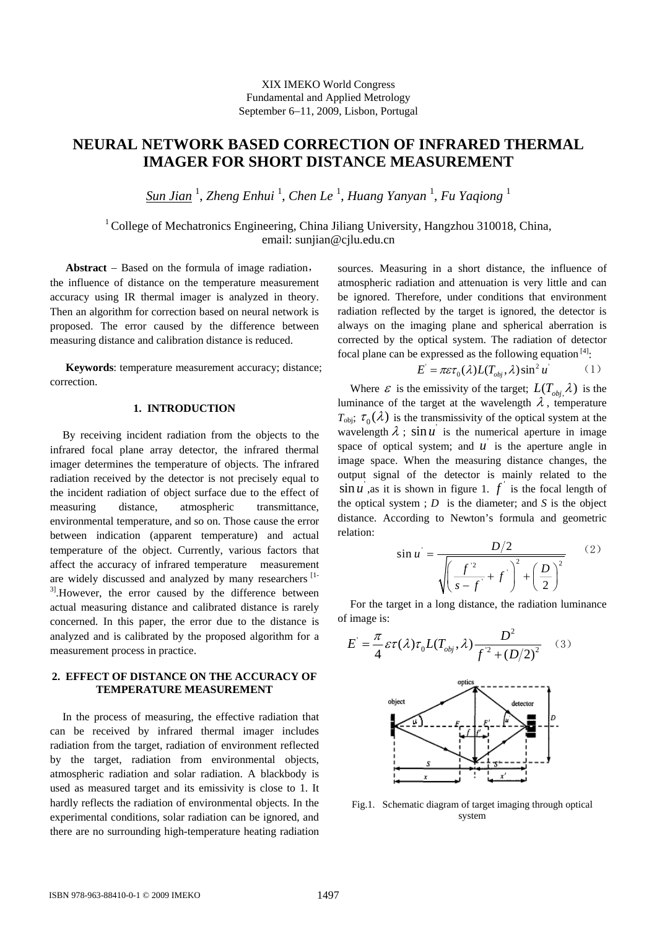XIX IMEKO World Congress Fundamental and Applied Metrology September 6−11, 2009, Lisbon, Portugal

# **NEURAL NETWORK BASED CORRECTION OF INFRARED THERMAL IMAGER FOR SHORT DISTANCE MEASUREMENT**

*Sun Jian* <sup>1</sup> , *Zheng Enhui* <sup>1</sup> , *Chen Le* <sup>1</sup> , *Huang Yanyan* <sup>1</sup> , *Fu Yaqiong* <sup>1</sup>

 $1$  College of Mechatronics Engineering, China Jiliang University, Hangzhou 310018, China, email: sunjian@cjlu.edu.cn

**Abstract** − Based on the formula of image radiation, the influence of distance on the temperature measurement accuracy using IR thermal imager is analyzed in theory. Then an algorithm for correction based on neural network is proposed. The error caused by the difference between measuring distance and calibration distance is reduced.

**Keywords**: temperature measurement accuracy; distance; correction.

# **1. INTRODUCTION**

By receiving incident radiation from the objects to the infrared focal plane array detector, the infrared thermal imager determines the temperature of objects. The infrared radiation received by the detector is not precisely equal to the incident radiation of object surface due to the effect of measuring distance, atmospheric transmittance, environmental temperature, and so on. Those cause the error between indication (apparent temperature) and actual temperature of the object. Currently, various factors that affect the accuracy of infrared temperature measurement are widely discussed and analyzed by many researchers  $[1 3$ ]. However, the error caused by the difference between actual measuring distance and calibrated distance is rarely concerned. In this paper, the error due to the distance is analyzed and is calibrated by the proposed algorithm for a measurement process in practice.

### **2. EFFECT OF DISTANCE ON THE ACCURACY OF TEMPERATURE MEASUREMENT**

In the process of measuring, the effective radiation that can be received by infrared thermal imager includes radiation from the target, radiation of environment reflected by the target, radiation from environmental objects, atmospheric radiation and solar radiation. A blackbody is used as measured target and its emissivity is close to 1. It hardly reflects the radiation of environmental objects. In the experimental conditions, solar radiation can be ignored, and there are no surrounding high-temperature heating radiation

sources. Measuring in a short distance, the influence of atmospheric radiation and attenuation is very little and can be ignored. Therefore, under conditions that environment radiation reflected by the target is ignored, the detector is always on the imaging plane and spherical aberration is corrected by the optical system. The radiation of detector focal plane can be expressed as the following equation  $^{[4]}$ :

$$
E' = \pi \varepsilon \tau_0(\lambda) L(T_{\text{obj}}, \lambda) \sin^2 u \tag{1}
$$

Where  $\varepsilon$  is the emissivity of the target;  $L(T_{obj}, \lambda)$  is the luminance of the target at the wavelength  $\lambda$ , temperature  $T_{\text{obj}}$ ;  $\tau_0(\lambda)$  is the transmissivity of the optical system at the wavelength  $\lambda$ ;  $\sin u$  is the numerical aperture in image space of optical system; and  $u'$  is the aperture angle in image space. When the measuring distance changes, the output signal of the detector is mainly related to the  $\sin u$ , as it is shown in figure 1.  $f'$  is the focal length of the optical system ; *D* is the diameter; and *S* is the object distance. According to Newton's formula and geometric relation:

$$
\sin u = \frac{D/2}{\sqrt{\left(\frac{f^2}{s - f} + f\right)^2 + \left(\frac{D}{2}\right)^2}}
$$
(2)

For the target in a long distance, the radiation luminance of image is:

$$
E' = \frac{\pi}{4} \varepsilon \tau(\lambda) \tau_0 L(T_{obj}, \lambda) \frac{D^2}{f^2 + (D/2)^2} \quad (3)
$$



Fig.1. Schematic diagram of target imaging through optical system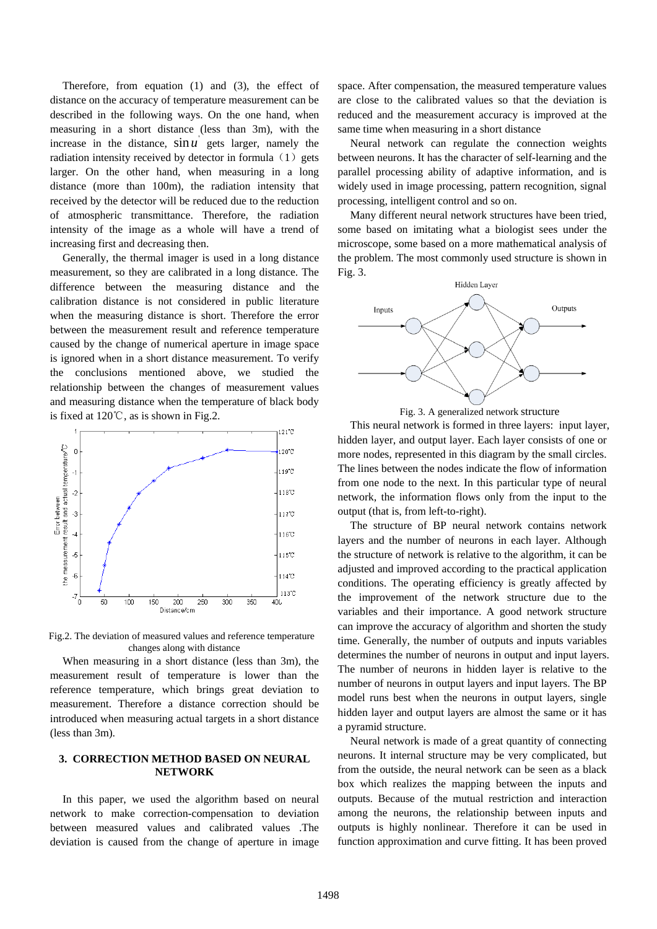Therefore, from equation (1) and (3), the effect of distance on the accuracy of temperature measurement can be described in the following ways. On the one hand, when measuring in a short distance (less than 3m), with the increase in the distance,  $\sin u$  gets larger, namely the radiation intensity received by detector in formula  $(1)$  gets larger. On the other hand, when measuring in a long distance (more than 100m), the radiation intensity that received by the detector will be reduced due to the reduction of atmospheric transmittance. Therefore, the radiation intensity of the image as a whole will have a trend of increasing first and decreasing then.

Generally, the thermal imager is used in a long distance measurement, so they are calibrated in a long distance. The difference between the measuring distance and the calibration distance is not considered in public literature when the measuring distance is short. Therefore the error between the measurement result and reference temperature caused by the change of numerical aperture in image space is ignored when in a short distance measurement. To verify the conclusions mentioned above, we studied the relationship between the changes of measurement values and measuring distance when the temperature of black body is fixed at 120℃, as is shown in Fig.2.



Fig.2. The deviation of measured values and reference temperature changes along with distance

When measuring in a short distance (less than 3m), the measurement result of temperature is lower than the reference temperature, which brings great deviation to measurement. Therefore a distance correction should be introduced when measuring actual targets in a short distance (less than 3m).

# **3. CORRECTION METHOD BASED ON NEURAL NETWORK**

In this paper, we used the algorithm based on neural network to make correction-compensation to deviation between measured values and calibrated values .The deviation is caused from the change of aperture in image

space. After compensation, the measured temperature values are close to the calibrated values so that the deviation is reduced and the measurement accuracy is improved at the same time when measuring in a short distance

Neural network can regulate the connection weights between neurons. It has the character of self-learning and the parallel processing ability of adaptive information, and is widely used in image processing, pattern recognition, signal processing, intelligent control and so on.

Many different neural network structures have been tried, some based on imitating what a biologist sees under the microscope, some based on a more mathematical analysis of the problem. The most commonly used structure is shown in Fig. 3.



Fig. 3. A generalized network structure

This neural network is formed in three layers: input layer, hidden layer, and output layer. Each layer consists of one or more nodes, represented in this diagram by the small circles. The lines between the nodes indicate the flow of information from one node to the next. In this particular type of neural network, the information flows only from the input to the output (that is, from left-to-right).

The structure of BP neural network contains network layers and the number of neurons in each layer. Although the structure of network is relative to the algorithm, it can be adjusted and improved according to the practical application conditions. The operating efficiency is greatly affected by the improvement of the network structure due to the variables and their importance. A good network structure can improve the accuracy of algorithm and shorten the study time. Generally, the number of outputs and inputs variables determines the number of neurons in output and input layers. The number of neurons in hidden layer is relative to the number of neurons in output layers and input layers. The BP model runs best when the neurons in output layers, single hidden layer and output layers are almost the same or it has a pyramid structure.

Neural network is made of a great quantity of connecting neurons. It internal structure may be very complicated, but from the outside, the neural network can be seen as a black box which realizes the mapping between the inputs and outputs. Because of the mutual restriction and interaction among the neurons, the relationship between inputs and outputs is highly nonlinear. Therefore it can be used in function approximation and curve fitting. It has been proved